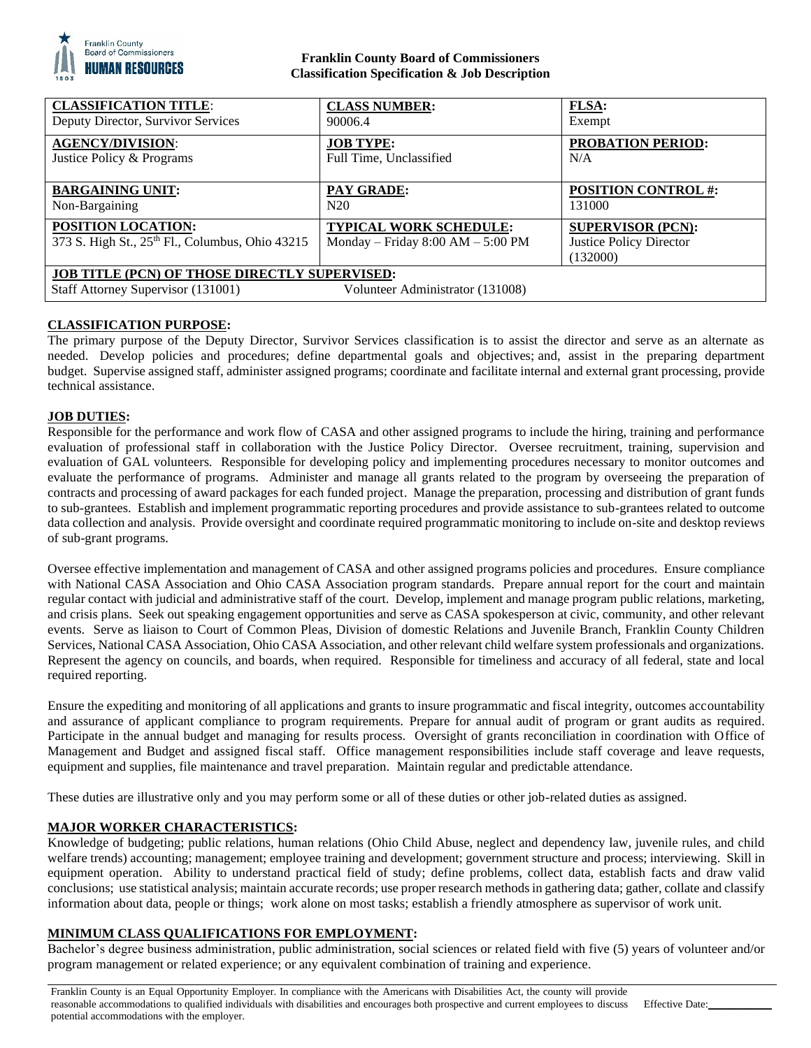

## **Franklin County Board of Commissioners Classification Specification & Job Description**

| <b>CLASSIFICATION TITLE:</b>                                                                                                   | <b>CLASS NUMBER:</b>                                                   | FLSA:                                                                  |
|--------------------------------------------------------------------------------------------------------------------------------|------------------------------------------------------------------------|------------------------------------------------------------------------|
| Deputy Director, Survivor Services                                                                                             | 90006.4                                                                | Exempt                                                                 |
| <b>AGENCY/DIVISION:</b>                                                                                                        | <b>JOB TYPE:</b>                                                       | <b>PROBATION PERIOD:</b>                                               |
| Justice Policy & Programs                                                                                                      | Full Time, Unclassified                                                | N/A                                                                    |
| <b>BARGAINING UNIT:</b>                                                                                                        | <b>PAY GRADE:</b>                                                      | <b>POSITION CONTROL #:</b>                                             |
| Non-Bargaining                                                                                                                 | N20                                                                    | 131000                                                                 |
| <b>POSITION LOCATION:</b><br>373 S. High St., 25th Fl., Columbus, Ohio 43215                                                   | <b>TYPICAL WORK SCHEDULE:</b><br>Monday – Friday $8:00$ AM – $5:00$ PM | <b>SUPERVISOR (PCN):</b><br><b>Justice Policy Director</b><br>(132000) |
| <b>JOB TITLE (PCN) OF THOSE DIRECTLY SUPERVISED:</b><br>Staff Attorney Supervisor (131001)<br>Volunteer Administrator (131008) |                                                                        |                                                                        |

# **CLASSIFICATION PURPOSE:**

The primary purpose of the Deputy Director, Survivor Services classification is to assist the director and serve as an alternate as needed. Develop policies and procedures; define departmental goals and objectives; and, assist in the preparing department budget. Supervise assigned staff, administer assigned programs; coordinate and facilitate internal and external grant processing, provide technical assistance.

### **JOB DUTIES:**

Responsible for the performance and work flow of CASA and other assigned programs to include the hiring, training and performance evaluation of professional staff in collaboration with the Justice Policy Director. Oversee recruitment, training, supervision and evaluation of GAL volunteers. Responsible for developing policy and implementing procedures necessary to monitor outcomes and evaluate the performance of programs. Administer and manage all grants related to the program by overseeing the preparation of contracts and processing of award packages for each funded project. Manage the preparation, processing and distribution of grant funds to sub-grantees. Establish and implement programmatic reporting procedures and provide assistance to sub-grantees related to outcome data collection and analysis. Provide oversight and coordinate required programmatic monitoring to include on-site and desktop reviews of sub-grant programs.

Oversee effective implementation and management of CASA and other assigned programs policies and procedures. Ensure compliance with National CASA Association and Ohio CASA Association program standards. Prepare annual report for the court and maintain regular contact with judicial and administrative staff of the court. Develop, implement and manage program public relations, marketing, and crisis plans. Seek out speaking engagement opportunities and serve as CASA spokesperson at civic, community, and other relevant events. Serve as liaison to Court of Common Pleas, Division of domestic Relations and Juvenile Branch, Franklin County Children Services, National CASA Association, Ohio CASA Association, and other relevant child welfare system professionals and organizations. Represent the agency on councils, and boards, when required. Responsible for timeliness and accuracy of all federal, state and local required reporting.

Ensure the expediting and monitoring of all applications and grants to insure programmatic and fiscal integrity, outcomes accountability and assurance of applicant compliance to program requirements. Prepare for annual audit of program or grant audits as required. Participate in the annual budget and managing for results process. Oversight of grants reconciliation in coordination with Office of Management and Budget and assigned fiscal staff. Office management responsibilities include staff coverage and leave requests, equipment and supplies, file maintenance and travel preparation. Maintain regular and predictable attendance.

These duties are illustrative only and you may perform some or all of these duties or other job-related duties as assigned.

### **MAJOR WORKER CHARACTERISTICS:**

Knowledge of budgeting; public relations, human relations (Ohio Child Abuse, neglect and dependency law, juvenile rules, and child welfare trends) accounting; management; employee training and development; government structure and process; interviewing. Skill in equipment operation. Ability to understand practical field of study; define problems, collect data, establish facts and draw valid conclusions; use statistical analysis; maintain accurate records; use proper research methods in gathering data; gather, collate and classify information about data, people or things; work alone on most tasks; establish a friendly atmosphere as supervisor of work unit.

#### **MINIMUM CLASS QUALIFICATIONS FOR EMPLOYMENT:**

Bachelor's degree business administration, public administration, social sciences or related field with five (5) years of volunteer and/or program management or related experience; or any equivalent combination of training and experience.

Franklin County is an Equal Opportunity Employer. In compliance with the Americans with Disabilities Act, the county will provide reasonable accommodations to qualified individuals with disabilities and encourages both prospective and current employees to discuss potential accommodations with the employer.